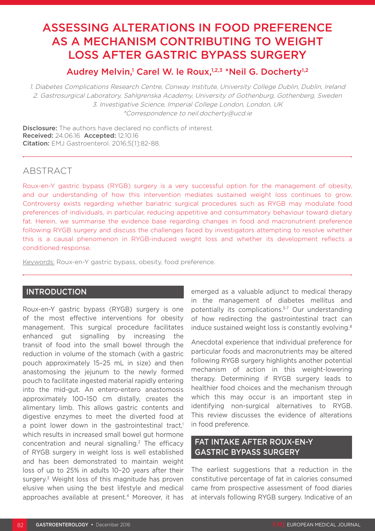# ASSESSING ALTERATIONS IN FOOD PREFERENCE AS A MECHANISM CONTRIBUTING TO WEIGHT LOSS AFTER GASTRIC BYPASS SURGERY

# Audrey Melvin,<sup>1</sup> Carel W. le Roux,<sup>1,2,3</sup> \*Neil G. Docherty<sup>1,2</sup>

1. Diabetes Complications Research Centre, Conway Institute, University College Dublin, Dublin, Ireland 2. Gastrosurgical Laboratory, Sahlgrenska Academy, University of Gothenburg, Gothenberg, Sweden 3. Investigative Science, Imperial College London, London, UK \*Correspondence to neil.docherty@ucd.ie

**Disclosure:** The authors have declared no conflicts of interest. Received: 24.06.16 Accepted: 12.10.16 Citation: EMJ Gastroenterol. 2016;5[1]:82-88.

# ABSTRACT

Roux-en-Y gastric bypass (RYGB) surgery is a very successful option for the management of obesity, and our understanding of how this intervention mediates sustained weight loss continues to grow. Controversy exists regarding whether bariatric surgical procedures such as RYGB may modulate food preferences of individuals, in particular, reducing appetitive and consummatory behaviour toward dietary fat. Herein, we summarise the evidence base regarding changes in food and macronutrient preference following RYGB surgery and discuss the challenges faced by investigators attempting to resolve whether this is a causal phenomenon in RYGB-induced weight loss and whether its development reflects a conditioned response.

Keywords: Roux-en-Y gastric bypass, obesity, food preference.

## INTRODUCTION

Roux-en-Y gastric bypass (RYGB) surgery is one of the most effective interventions for obesity management. This surgical procedure facilitates enhanced gut signalling by increasing the transit of food into the small bowel through the reduction in volume of the stomach (with a gastric pouch approximately 15–25 mL in size) and then anastomosing the jejunum to the newly formed pouch to facilitate ingested material rapidly entering into the mid-gut. An entero-entero anastomosis approximately 100–150 cm distally, creates the alimentary limb. This allows gastric contents and digestive enzymes to meet the diverted food at a point lower down in the gastrointestinal tract,<sup>1</sup> which results in increased small bowel gut hormone concentration and neural signalling.2 The efficacy of RYGB surgery in weight loss is well established and has been demonstrated to maintain weight loss of up to 25% in adults 10–20 years after their surgery.<sup>3</sup> Weight loss of this magnitude has proven elusive when using the best lifestyle and medical approaches available at present.<sup>4</sup> Moreover, it has

emerged as a valuable adjunct to medical therapy in the management of diabetes mellitus and potentially its complications.5-7 Our understanding of how redirecting the gastrointestinal tract can induce sustained weight loss is constantly evolving.<sup>8</sup>

Anecdotal experience that individual preference for particular foods and macronutrients may be altered following RYGB surgery highlights another potential mechanism of action in this weight-lowering therapy. Determining if RYGB surgery leads to healthier food choices and the mechanism through which this may occur is an important step in identifying non-surgical alternatives to RYGB. This review discusses the evidence of alterations in food preference.

# FAT INTAKE AFTER ROUX-EN-Y GASTRIC BYPASS SURGERY

The earliest suggestions that a reduction in the constitutive percentage of fat in calories consumed came from prospective assessment of food diaries at intervals following RYGB surgery. Indicative of an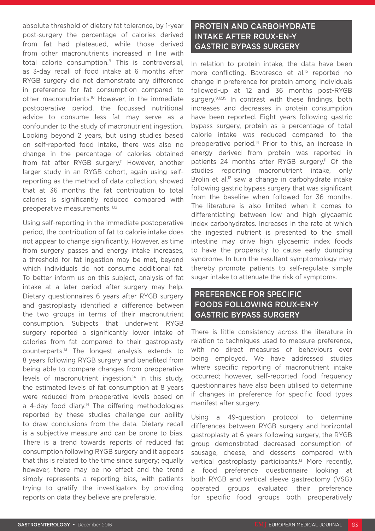absolute threshold of dietary fat tolerance, by 1-year post-surgery the percentage of calories derived from fat had plateaued, while those derived from other macronutrients increased in line with total calorie consumption.9 This is controversial, as 3-day recall of food intake at 6 months after RYGB surgery did not demonstrate any difference in preference for fat consumption compared to other macronutrients.<sup>10</sup> However, in the immediate postoperative period, the focussed nutritional advice to consume less fat may serve as a confounder to the study of macronutrient ingestion. Looking beyond 2 years, but using studies based on self-reported food intake, there was also no change in the percentage of calories obtained from fat after RYGB surgery.<sup>11</sup> However, another larger study in an RYGB cohort, again using selfreporting as the method of data collection, showed that at 36 months the fat contribution to total calories is significantly reduced compared with preoperative measurements.11,12

Using self-reporting in the immediate postoperative period, the contribution of fat to calorie intake does not appear to change significantly. However, as time from surgery passes and energy intake increases, a threshold for fat ingestion may be met, beyond which individuals do not consume additional fat. To better inform us on this subject, analysis of fat intake at a later period after surgery may help. Dietary questionnaires 6 years after RYGB surgery and gastroplasty identified a difference between the two groups in terms of their macronutrient consumption. Subjects that underwent RYGB surgery reported a significantly lower intake of calories from fat compared to their gastroplasty counterparts.13 The longest analysis extends to 8 years following RYGB surgery and benefited from being able to compare changes from preoperative levels of macronutrient ingestion.<sup>14</sup> In this study, the estimated levels of fat consumption at 8 years were reduced from preoperative levels based on a 4-day food diary.<sup>14</sup> The differing methodologies reported by these studies challenge our ability to draw conclusions from the data. Dietary recall is a subjective measure and can be prone to bias. There is a trend towards reports of reduced fat consumption following RYGB surgery and it appears that this is related to the time since surgery; equally however, there may be no effect and the trend simply represents a reporting bias, with patients trying to gratify the investigators by providing reports on data they believe are preferable.

# PROTEIN AND CARBOHYDRATE INTAKE AFTER ROUX-EN-Y GASTRIC BYPASS SURGERY

In relation to protein intake, the data have been more conflicting. Bavaresco et al.<sup>15</sup> reported no change in preference for protein among individuals followed-up at 12 and 36 months post-RYGB surgery.<sup>9,12,15</sup> In contrast with these findings, both increases and decreases in protein consumption have been reported. Eight years following gastric bypass surgery, protein as a percentage of total calorie intake was reduced compared to the preoperative period.14 Prior to this, an increase in energy derived from protein was reported in patients 24 months after RYGB surgery.<sup>11</sup> Of the studies reporting macronutrient intake, only Brolin et al.<sup>12</sup> saw a change in carbohydrate intake following gastric bypass surgery that was significant from the baseline when followed for 36 months. The literature is also limited when it comes to differentiating between low and high glycaemic index carbohydrates. Increases in the rate at which the ingested nutrient is presented to the small intestine may drive high glycaemic index foods to have the propensity to cause early dumping syndrome. In turn the resultant symptomology may thereby promote patients to self-regulate simple sugar intake to attenuate the risk of symptoms.

# PREFERENCE FOR SPECIFIC FOODS FOLLOWING ROUX-EN-Y GASTRIC BYPASS SURGERY

There is little consistency across the literature in relation to techniques used to measure preference, with no direct measures of behaviours ever being employed. We have addressed studies where specific reporting of macronutrient intake occurred; however, self-reported food frequency questionnaires have also been utilised to determine if changes in preference for specific food types manifest after surgery.

Using a 49-question protocol to determine differences between RYGB surgery and horizontal gastroplasty at 6 years following surgery, the RYGB group demonstrated decreased consumption of sausage, cheese, and desserts compared with vertical gastroplasty participants.13 More recently, a food preference questionnaire looking at both RYGB and vertical sleeve gastrectomy (VSG) operated groups evaluated their preference for specific food groups both preoperatively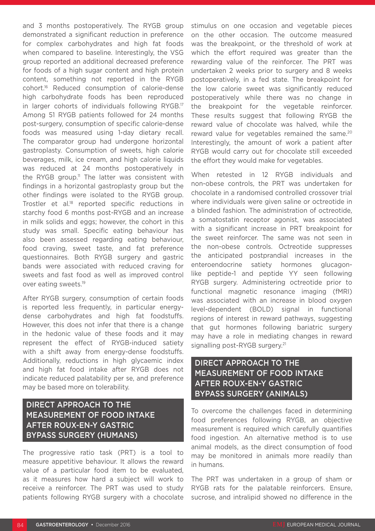and 3 months postoperatively. The RYGB group demonstrated a significant reduction in preference for complex carbohydrates and high fat foods when compared to baseline. Interestingly, the VSG group reported an additional decreased preference for foods of a high sugar content and high protein content, something not reported in the RYGB cohort.16 Reduced consumption of calorie-dense high carbohydrate foods has been reproduced in larger cohorts of individuals following RYGB.17 Among 51 RYGB patients followed for 24 months post-surgery, consumption of specific calorie-dense foods was measured using 1-day dietary recall. The comparator group had undergone horizontal gastroplasty. Consumption of sweets, high calorie beverages, milk, ice cream, and high calorie liquids was reduced at 24 months postoperatively in the RYGB group.<sup>11</sup> The latter was consistent with findings in a horizontal gastroplasty group but the other findings were isolated to the RYGB group. Trostler et al.<sup>18</sup> reported specific reductions in starchy food 6 months post-RYGB and an increase in milk solids and eggs; however, the cohort in this study was small. Specific eating behaviour has also been assessed regarding eating behaviour, food craving, sweet taste, and fat preference questionnaires. Both RYGB surgery and gastric bands were associated with reduced craving for sweets and fast food as well as improved control over eating sweets.19

After RYGB surgery, consumption of certain foods is reported less frequently, in particular energydense carbohydrates and high fat foodstuffs. However, this does not infer that there is a change in the hedonic value of these foods and it may represent the effect of RYGB-induced satiety with a shift away from energy-dense foodstuffs. Additionally, reductions in high glycaemic index and high fat food intake after RYGB does not indicate reduced palatability per se, and preference may be based more on tolerability.

# DIRECT APPROACH TO THE MEASUREMENT OF FOOD INTAKE AFTER ROUX-EN-Y GASTRIC BYPASS SURGERY (HUMANS)

The progressive ratio task (PRT) is a tool to measure appetitive behaviour. It allows the reward value of a particular food item to be evaluated, as it measures how hard a subject will work to receive a reinforcer. The PRT was used to study patients following RYGB surgery with a chocolate stimulus on one occasion and vegetable pieces on the other occasion. The outcome measured was the breakpoint, or the threshold of work at which the effort required was greater than the rewarding value of the reinforcer. The PRT was undertaken 2 weeks prior to surgery and 8 weeks postoperatively, in a fed state. The breakpoint for the low calorie sweet was significantly reduced postoperatively while there was no change in the breakpoint for the vegetable reinforcer. These results suggest that following RYGB the reward value of chocolate was halved, while the reward value for vegetables remained the same.<sup>20</sup> Interestingly, the amount of work a patient after RYGB would carry out for chocolate still exceeded the effort they would make for vegetables.

When retested in 12 RYGB individuals and non-obese controls, the PRT was undertaken for chocolate in a randomised controlled crossover trial where individuals were given saline or octreotide in a blinded fashion. The administration of octreotide, a somatostatin receptor agonist, was associated with a significant increase in PRT breakpoint for the sweet reinforcer. The same was not seen in the non-obese controls. Octreotide suppresses the anticipated postprandial increases in the enteroendocrine satiety hormones glucagonlike peptide-1 and peptide YY seen following RYGB surgery. Administering octreotide prior to functional magnetic resonance imaging (fMRI) was associated with an increase in blood oxygen level-dependent (BOLD) signal in functional regions of interest in reward pathways, suggesting that gut hormones following bariatric surgery may have a role in mediating changes in reward signalling post-RYGB surgery.<sup>21</sup>

# DIRECT APPROACH TO THE MEASUREMENT OF FOOD INTAKE AFTER ROUX-EN-Y GASTRIC BYPASS SURGERY (ANIMALS)

To overcome the challenges faced in determining food preferences following RYGB, an objective measurement is required which carefully quantifies food ingestion. An alternative method is to use animal models, as the direct consumption of food may be monitored in animals more readily than in humans.

The PRT was undertaken in a group of sham or RYGB rats for the palatable reinforcers. Ensure, sucrose, and intralipid showed no difference in the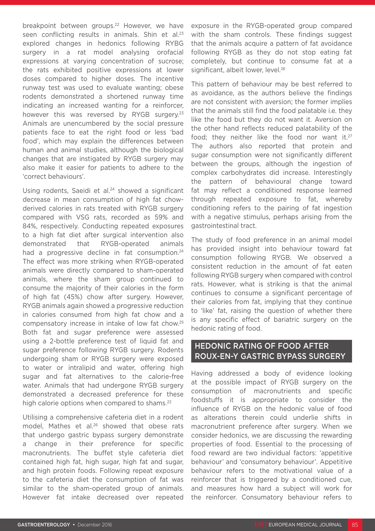breakpoint between groups.<sup>22</sup> However, we have seen conflicting results in animals. Shin et al.<sup>23</sup> explored changes in hedonics following RYBG surgery in a rat model analysing orofacial expressions at varying concentration of sucrose; the rats exhibited positive expressions at lower doses compared to higher doses. The incentive runway test was used to evaluate wanting; obese rodents demonstrated a shortened runway time indicating an increased wanting for a reinforcer, however this was reversed by RYGB surgery.<sup>23</sup> Animals are unencumbered by the social pressure patients face to eat the right food or less 'bad food', which may explain the differences between human and animal studies, although the biological changes that are instigated by RYGB surgery may also make it easier for patients to adhere to the 'correct behaviours'.

Using rodents, Saeidi et al.<sup>24</sup> showed a significant decrease in mean consumption of high fat chowderived calories in rats treated with RYGB surgery compared with VSG rats, recorded as 59% and 84%, respectively. Conducting repeated exposures to a high fat diet after surgical intervention also demonstrated that RYGB-operated animals had a progressive decline in fat consumption.<sup>24</sup> The effect was more striking when RYGB-operated animals were directly compared to sham-operated animals, where the sham group continued to consume the majority of their calories in the form of high fat (45%) chow after surgery. However, RYGB animals again showed a progressive reduction in calories consumed from high fat chow and a compensatory increase in intake of low fat chow.25 Both fat and sugar preference were assessed using a 2-bottle preference test of liquid fat and sugar preference following RYGB surgery. Rodents undergoing sham or RYGB surgery were exposed to water or intralipid and water, offering high sugar and fat alternatives to the calorie-free water. Animals that had undergone RYGB surgery demonstrated a decreased preference for these high calorie options when compared to shams.<sup>22</sup>

Utilising a comprehensive cafeteria diet in a rodent model. Mathes et al.<sup>26</sup> showed that obese rats that undergo gastric bypass surgery demonstrate a change in their preference for specific macronutrients. The buffet style cafeteria diet contained high fat, high sugar, high fat and sugar, and high protein foods. Following repeat exposure to the cafeteria diet the consumption of fat was similar to the sham-operated group of animals. However fat intake decreased over repeated exposure in the RYGB-operated group compared with the sham controls. These findings suggest that the animals acquire a pattern of fat avoidance following RYGB as they do not stop eating fat completely, but continue to consume fat at a significant, albeit lower, level.<sup>26</sup>

This pattern of behaviour may be best referred to as avoidance, as the authors believe the findings are not consistent with aversion; the former implies that the animals still find the food palatable i.e. they like the food but they do not want it. Aversion on the other hand reflects reduced palatability of the food; they neither like the food nor want it. $27$ The authors also reported that protein and sugar consumption were not significantly different between the groups, although the ingestion of complex carbohydrates did increase. Interestingly the pattern of behavioural change toward fat may reflect a conditioned response learned through repeated exposure to fat, whereby conditioning refers to the pairing of fat ingestion with a negative stimulus, perhaps arising from the gastrointestinal tract.

The study of food preference in an animal model has provided insight into behaviour toward fat consumption following RYGB. We observed a consistent reduction in the amount of fat eaten following RYGB surgery when compared with control rats. However, what is striking is that the animal continues to consume a significant percentage of their calories from fat, implying that they continue to 'like' fat, raising the question of whether there is any specific effect of bariatric surgery on the hedonic rating of food.

## HEDONIC RATING OF FOOD AFTER ROUX-EN-Y GASTRIC BYPASS SURGERY

Having addressed a body of evidence looking at the possible impact of RYGB surgery on the consumption of macronutrients and specific foodstuffs it is appropriate to consider the influence of RYGB on the hedonic value of food as alterations therein could underlie shifts in macronutrient preference after surgery. When we consider hedonics, we are discussing the rewarding properties of food. Essential to the processing of food reward are two individual factors: 'appetitive behaviour' and 'consumatory behaviour'. Appetitive behaviour refers to the motivational value of a reinforcer that is triggered by a conditioned cue, and measures how hard a subject will work for the reinforcer. Consumatory behaviour refers to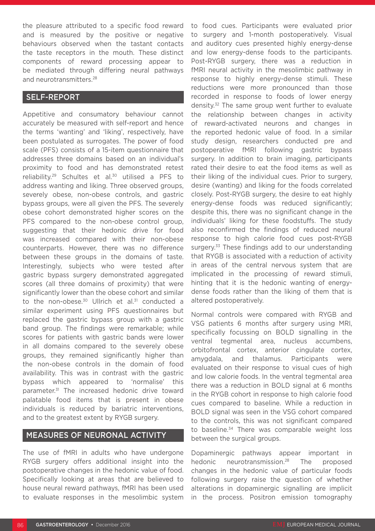the pleasure attributed to a specific food reward and is measured by the positive or negative behaviours observed when the tastant contacts the taste receptors in the mouth. These distinct components of reward processing appear to be mediated through differing neural pathways and neurotransmitters.<sup>28</sup>

### SELF-REPORT

Appetitive and consumatory behaviour cannot accurately be measured with self-report and hence the terms 'wanting' and 'liking', respectively, have been postulated as surrogates. The power of food scale (PFS) consists of a 15-item questionnaire that addresses three domains based on an individual's proximity to food and has demonstrated retest reliability.<sup>29</sup> Schultes et al.<sup>30</sup> utilised a PFS to address wanting and liking. Three observed groups, severely obese, non-obese controls, and gastric bypass groups, were all given the PFS. The severely obese cohort demonstrated higher scores on the PFS compared to the non-obese control group, suggesting that their hedonic drive for food was increased compared with their non-obese counterparts. However, there was no difference between these groups in the domains of taste. Interestingly, subjects who were tested after gastric bypass surgery demonstrated aggregated scores (all three domains of proximity) that were significantly lower than the obese cohort and similar to the non-obese. $30$  Ullrich et al. $31$  conducted a similar experiment using PFS questionnaires but replaced the gastric bypass group with a gastric band group. The findings were remarkable; while scores for patients with gastric bands were lower in all domains compared to the severely obese groups, they remained significantly higher than the non-obese controls in the domain of food availability. This was in contrast with the gastric bypass which appeared to 'normalise' this parameter.31 The increased hedonic drive toward palatable food items that is present in obese individuals is reduced by bariatric interventions, and to the greatest extent by RYGB surgery.

#### MEASURES OF NEURONAL ACTIVITY

The use of fMRI in adults who have undergone RYGB surgery offers additional insight into the postoperative changes in the hedonic value of food. Specifically looking at areas that are believed to house neural reward pathways, fMRI has been used to evaluate responses in the mesolimbic system

to food cues. Participants were evaluated prior to surgery and 1-month postoperatively. Visual and auditory cues presented highly energy-dense and low energy-dense foods to the participants. Post-RYGB surgery, there was a reduction in fMRI neural activity in the mesolimbic pathway in response to highly energy-dense stimuli. These reductions were more pronounced than those recorded in response to foods of lower energy density.<sup>32</sup> The same group went further to evaluate the relationship between changes in activity of reward-activated neurons and changes in the reported hedonic value of food. In a similar study design, researchers conducted pre and postoperative fMRI following gastric bypass surgery. In addition to brain imaging, participants rated their desire to eat the food items as well as their liking of the individual cues. Prior to surgery, desire (wanting) and liking for the foods correlated closely. Post-RYGB surgery, the desire to eat highly energy-dense foods was reduced significantly; despite this, there was no significant change in the individuals' liking for these foodstuffs. The study also reconfirmed the findings of reduced neural response to high calorie food cues post-RYGB surgery.<sup>33</sup> These findings add to our understanding that RYGB is associated with a reduction of activity in areas of the central nervous system that are implicated in the processing of reward stimuli, hinting that it is the hedonic wanting of energydense foods rather than the liking of them that is altered postoperatively.

Normal controls were compared with RYGB and VSG patients 6 months after surgery using MRI, specifically focussing on BOLD signalling in the ventral tegmental area, nucleus accumbens, orbitofrontal cortex, anterior cingulate cortex, amygdala, and thalamus. Participants were evaluated on their response to visual cues of high and low calorie foods. In the ventral tegmental area there was a reduction in BOLD signal at 6 months in the RYGB cohort in response to high calorie food cues compared to baseline. While a reduction in BOLD signal was seen in the VSG cohort compared to the controls, this was not significant compared to baseline.<sup>34</sup> There was comparable weight loss between the surgical groups.

Dopaminergic pathways appear important in hedonic neurotransmission.<sup>28</sup> The proposed changes in the hedonic value of particular foods following surgery raise the question of whether alterations in dopaminergic signalling are implicit in the process. Positron emission tomography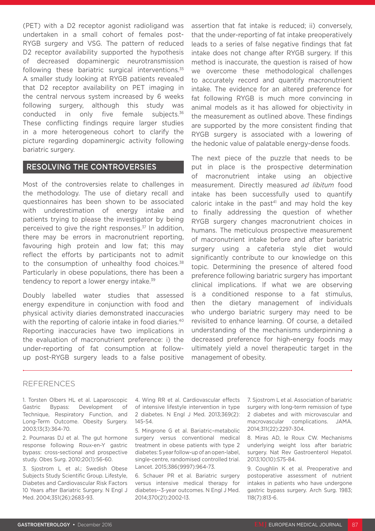(PET) with a D2 receptor agonist radioligand was undertaken in a small cohort of females post-RYGB surgery and VSG. The pattern of reduced D2 receptor availability supported the hypothesis of decreased dopaminergic neurotransmission following these bariatric surgical interventions.<sup>35</sup> A smaller study looking at RYGB patients revealed that D2 receptor availability on PET imaging in the central nervous system increased by 6 weeks following surgery, although this study was conducted in only five female subjects.<sup>36</sup> These conflicting findings require larger studies in a more heterogeneous cohort to clarify the picture regarding dopaminergic activity following bariatric surgery.

#### RESOLVING THE CONTROVERSIES

Most of the controversies relate to challenges in the methodology. The use of dietary recall and questionnaires has been shown to be associated with underestimation of energy intake and patients trying to please the investigator by being perceived to give the right responses.37 In addition, there may be errors in macronutrient reporting, favouring high protein and low fat; this may reflect the efforts by participants not to admit to the consumption of unhealthy food choices.<sup>38</sup> Particularly in obese populations, there has been a tendency to report a lower energy intake.<sup>39</sup>

Doubly labelled water studies that assessed energy expenditure in conjunction with food and physical activity diaries demonstrated inaccuracies with the reporting of calorie intake in food diaries.<sup>40</sup> Reporting inaccuracies have two implications in the evaluation of macronutrient preference: i) the under-reporting of fat consumption at followup post-RYGB surgery leads to a false positive

assertion that fat intake is reduced; ii) conversely, that the under-reporting of fat intake preoperatively leads to a series of false negative findings that fat intake does not change after RYGB surgery. If this method is inaccurate, the question is raised of how we overcome these methodological challenges to accurately record and quantify macronutrient intake. The evidence for an altered preference for fat following RYGB is much more convincing in animal models as it has allowed for objectivity in the measurement as outlined above. These findings are supported by the more consistent finding that RYGB surgery is associated with a lowering of the hedonic value of palatable energy-dense foods.

The next piece of the puzzle that needs to be put in place is the prospective determination of macronutrient intake using an objective measurement. Directly measured *ad libitum* food intake has been successfully used to quantify caloric intake in the past<sup>41</sup> and may hold the key to finally addressing the question of whether RYGB surgery changes macronutrient choices in humans. The meticulous prospective measurement of macronutrient intake before and after bariatric surgery using a cafeteria style diet would significantly contribute to our knowledge on this topic. Determining the presence of altered food preference following bariatric surgery has important clinical implications. If what we are observing is a conditioned response to a fat stimulus, then the dietary management of individuals who undergo bariatric surgery may need to be revisited to enhance learning. Of course, a detailed understanding of the mechanisms underpinning a decreased preference for high-energy foods may ultimately yield a novel therapeutic target in the management of obesity.

#### REFERENCES

1. Torsten Olbers HL et al. Laparoscopic Gastric Bypass: Development of Technique, Respiratory Function, and Long-Term Outcome. Obesity Surgery. 2003;13(3):364-70.

2. Pournaras DJ et al. The gut hormone response following Roux-en-Y gastric bypass: cross-sectional and prospective study. Obes Surg. 2010;20(1):56-60.

3. Sjostrom L et al.; Swedish Obese Subjects Study Scientific Group. Lifestyle, Diabetes and Cardiovascular Risk Factors 10 Years after Bariatric Surgery. N Engl J Med. 2004;351(26):2683-93.

4. Wing RR et al. Cardiovascular effects of intensive lifestyle intervention in type 2 diabetes. N Engl J Med. 2013;369(2): 145-54.

5. Mingrone G et al. Bariatric–metabolic surgery versus conventional medical treatment in obese patients with type 2 diabetes: 5 year follow-up of an open-label, single-centre, randomised controlled trial. Lancet. 2015;386(9997):964-73.

6. Schauer PR et al. Bariatric surgery versus intensive medical therapy for diabetes--3-year outcomes. N Engl J Med. 2014;370(21):2002-13.

7. Sjostrom L et al. Association of bariatric surgery with long-term remission of type 2 diabetes and with microvascular and macrovascular complications. JAMA. 2014;311(22):2297-304.

8. Miras AD, le Roux CW. Mechanisms underlying weight loss after bariatric surgery. Nat Rev Gastroenterol Hepatol. 2013;10(10):575-84.

9. Coughlin K et al. Preoperative and postoperative assessment of nutrient intakes in patients who have undergone gastric bypass surgery. Arch Surg. 1983; 118(7):813-6.